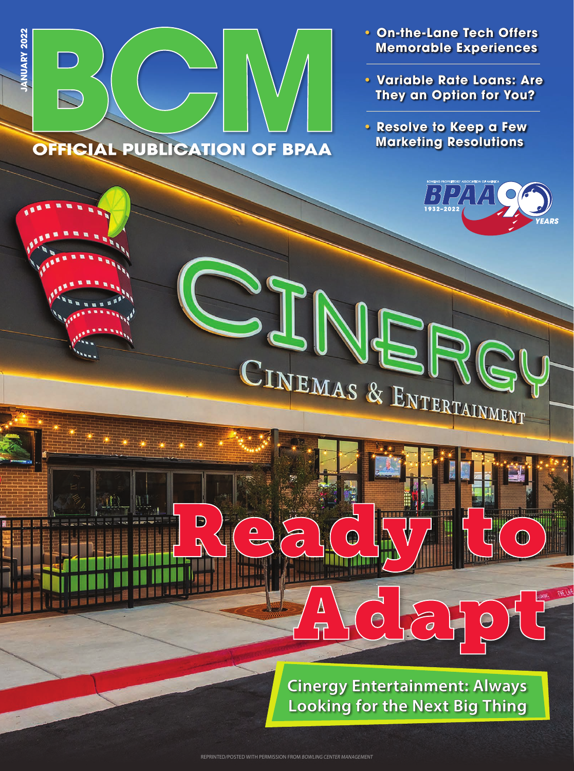

**OFFICIAL PUBLICATION OF BPAA** 

D

 $\Delta$ 

 $\sigma$ 

 $\overline{\mathbf{T}}$ 

**JANUARY 2022**

**ANUARY 2022** 

- **On-the-Lane Tech Offers Memorable Experiences**
- **Variable Rate Loans: Are They an Option for You?**
- **Resolve to Keep a Few Marketing Resolutions**



mun

 $\bigcirc$ 

**Cinergy Entertainment: Always Looking for the Next Big Thing**

 $\overline{o}$ 

 $\bigodot$ 

CINEMAS & ENTERTAINMENT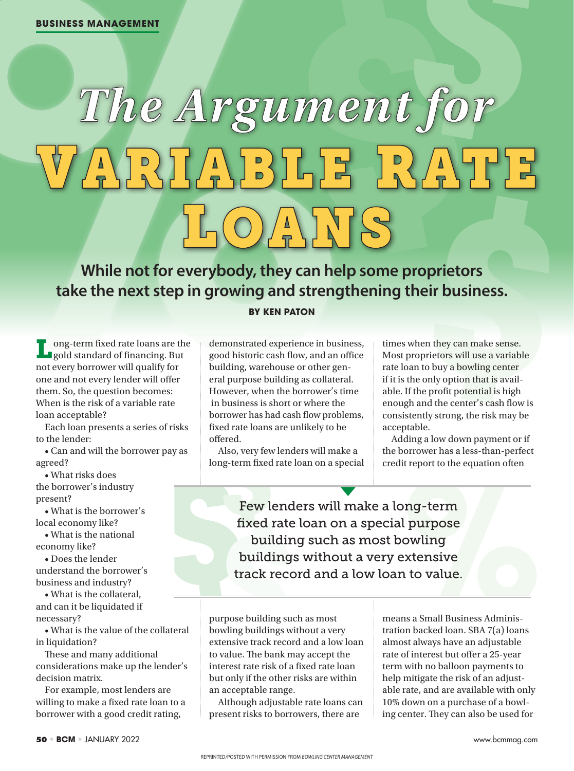## The Argument for ARIABLE RATE

**While not for everybody, they can help some proprietors take the next step in growing and strengthening their business.**

## **BY KEN PATON**

Long-term fixed rate loans are the gold standard of financing. But not every borrower will qualify for one and not every lender will offer them. So, the question becomes: When is the risk of a variable rate loan acceptable?

Each loan presents a series of risks to the lender:

• Can and will the borrower pay as agreed?

• What risks does

the borrower's industry present?

• What is the borrower's local economy like?

• What is the national economy like?

• Does the lender understand the borrower's business and industry?

• What is the collateral, and can it be liquidated if necessary?

• What is the value of the collateral in liquidation?

These and many additional considerations make up the lender's decision matrix.

For example, most lenders are willing to make a fixed rate loan to a borrower with a good credit rating,

demonstrated experience in business, good historic cash flow, and an office building, warehouse or other general purpose building as collateral. However, when the borrower's time in business is short or where the borrower has had cash flow problems, fixed rate loans are unlikely to be offered.

Also, very few lenders will make a long-term fixed rate loan on a special times when they can make sense. Most proprietors will use a variable rate loan to buy a bowling center if it is the only option that is available. If the profit potential is high enough and the center's cash flow is consistently strong, the risk may be acceptable.

Adding a low down payment or if the borrower has a less-than-perfect credit report to the equation often

Few lenders will make a long-term fixed rate loan on a special purpose building such as most bowling buildings without a very extensive track record and a low loan to value.

purpose building such as most bowling buildings without a very extensive track record and a low loan to value. The bank may accept the interest rate risk of a fixed rate loan but only if the other risks are within an acceptable range.

Although adjustable rate loans can present risks to borrowers, there are

means a Small Business Administration backed loan. SBA 7(a) loans almost always have an adjustable rate of interest but offer a 25-year term with no balloon payments to help mitigate the risk of an adjustable rate, and are available with only 10% down on a purchase of a bowling center. They can also be used for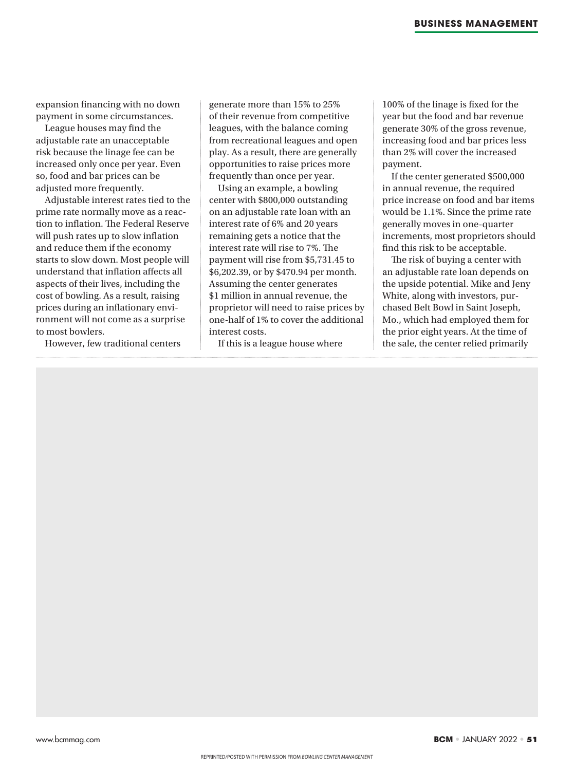expansion financing with no down payment in some circumstances.

League houses may find the adjustable rate an unacceptable risk because the linage fee can be increased only once per year. Even so, food and bar prices can be adjusted more frequently.

Adjustable interest rates tied to the prime rate normally move as a reaction to inflation. The Federal Reserve will push rates up to slow inflation and reduce them if the economy starts to slow down. Most people will understand that inflation affects all aspects of their lives, including the cost of bowling. As a result, raising prices during an inflationary environment will not come as a surprise to most bowlers.

However, few traditional centers

generate more than 15% to 25% of their revenue from competitive leagues, with the balance coming from recreational leagues and open play. As a result, there are generally opportunities to raise prices more frequently than once per year.

Using an example, a bowling center with \$800,000 outstanding on an adjustable rate loan with an interest rate of 6% and 20 years remaining gets a notice that the interest rate will rise to 7%. The payment will rise from \$5,731.45 to \$6,202.39, or by \$470.94 per month. Assuming the center generates \$1 million in annual revenue, the proprietor will need to raise prices by one-half of 1% to cover the additional interest costs.

If this is a league house where

100% of the linage is fixed for the year but the food and bar revenue generate 30% of the gross revenue, increasing food and bar prices less than 2% will cover the increased payment.

If the center generated \$500,000 in annual revenue, the required price increase on food and bar items would be 1.1%. Since the prime rate generally moves in one-quarter increments, most proprietors should find this risk to be acceptable.

The risk of buying a center with an adjustable rate loan depends on the upside potential. Mike and Jeny White, along with investors, purchased Belt Bowl in Saint Joseph, Mo., which had employed them for the prior eight years. At the time of the sale, the center relied primarily